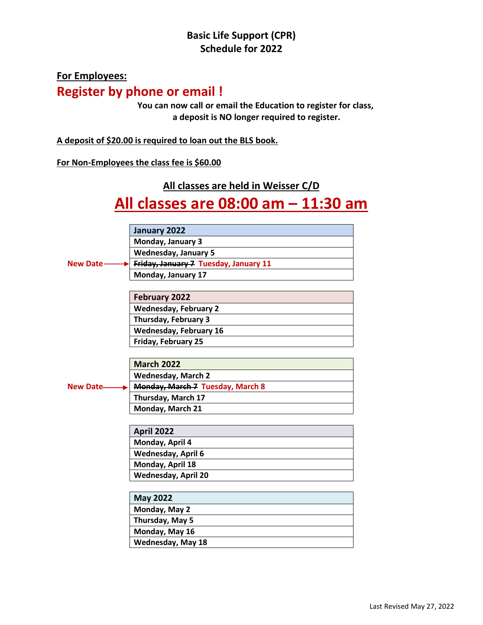## **Basic Life Support (CPR) Schedule for 2022**

# **For Employees: Register by phone or email !**

**You can now call or email the Education to register for class, a deposit is NO longer required to register.**

**A deposit of \$20.00 is required to loan out the BLS book.**

#### **For Non-Employees the class fee is \$60.00**

**All classes are held in Weisser C/D**

# **All classes are 08:00 am – 11:30 am**

|                  | January 2022                          |
|------------------|---------------------------------------|
|                  | Monday, January 3                     |
|                  | <b>Wednesday, January 5</b>           |
| <b>New Date</b>  | Friday, January 7 Tuesday, January 11 |
|                  | Monday, January 17                    |
|                  |                                       |
|                  | <b>February 2022</b>                  |
|                  | <b>Wednesday, February 2</b>          |
|                  | Thursday, February 3                  |
|                  | <b>Wednesday, February 16</b>         |
|                  | Friday, February 25                   |
|                  |                                       |
|                  | <b>March 2022</b>                     |
|                  | <b>Wednesday, March 2</b>             |
| <b>New Date-</b> | Monday, March 7 Tuesday, March 8      |
|                  | Thursday, March 17                    |
|                  | Monday, March 21                      |
|                  |                                       |
|                  | April 2022                            |
|                  | Monday, April 4                       |
|                  | Wednesday, April 6                    |
|                  | Monday, April 18                      |
|                  | <b>Wednesday, April 20</b>            |
|                  |                                       |
|                  | <b>May 2022</b>                       |
|                  | Monday, May 2                         |
|                  | Thursday, May 5                       |
|                  | Monday, May 16                        |
|                  | <b>Wednesday, May 18</b>              |
|                  |                                       |